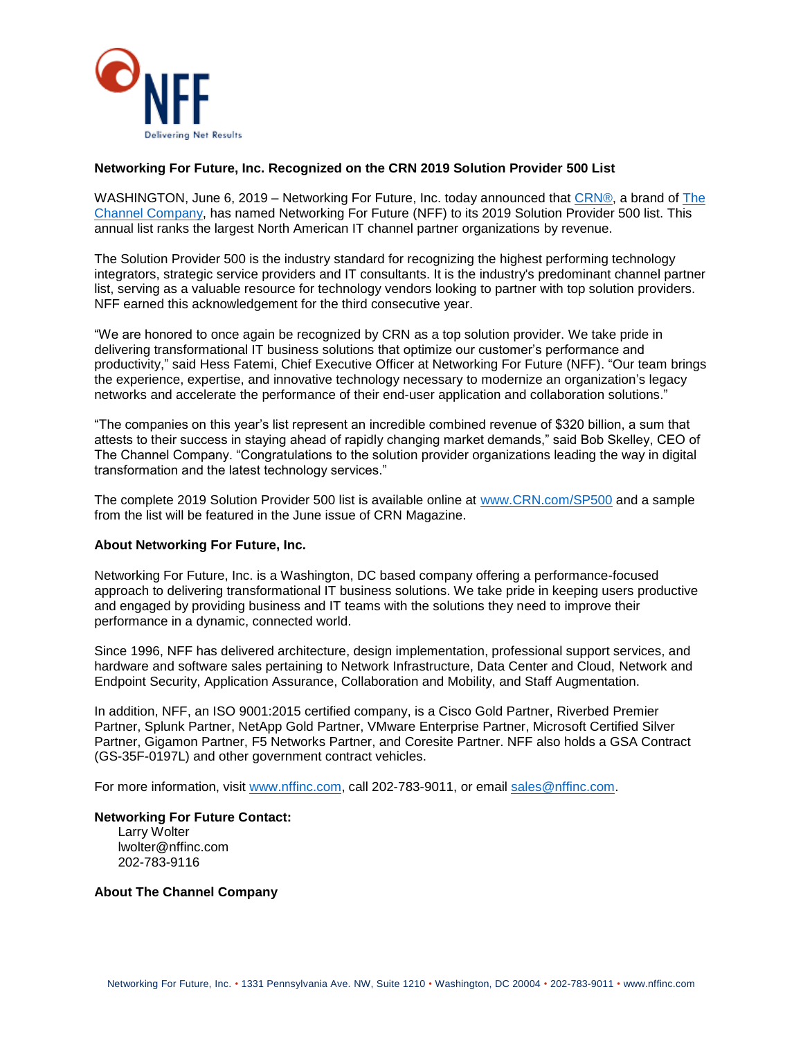

## **Networking For Future, Inc. Recognized on the CRN 2019 Solution Provider 500 List**

WASHINGTON, June 6, 2019 – Networking For Future, Inc. today announced that [CRN®,](https://www.globenewswire.com/Tracker?data=2EQ0VjjienxrD38G5F3YGJCcC1hXFTcbYX-3n3Z7Fk70WO6dErwMQl73z_WtFblE) a brand of The [Channel Company,](https://www.globenewswire.com/Tracker?data=nkLcfY_keFQwkTzpn4Nd0ecOKh1z4xoSlBWdM_OkNSY7VM15CqOZEpecTPKe0PzP2yBeHH6v1RxRMTHvWbfSqSWAiZjNqdQZrC5VFwri8-E=) has named Networking For Future (NFF) to its 2019 Solution Provider 500 list. This annual list ranks the largest North American IT channel partner organizations by revenue.

The Solution Provider 500 is the industry standard for recognizing the highest performing technology integrators, strategic service providers and IT consultants. It is the industry's predominant channel partner list, serving as a valuable resource for technology vendors looking to partner with top solution providers. NFF earned this acknowledgement for the third consecutive year.

"We are honored to once again be recognized by CRN as a top solution provider. We take pride in delivering transformational IT business solutions that optimize our customer's performance and productivity," said Hess Fatemi, Chief Executive Officer at Networking For Future (NFF). "Our team brings the experience, expertise, and innovative technology necessary to modernize an organization's legacy networks and accelerate the performance of their end-user application and collaboration solutions."

"The companies on this year's list represent an incredible combined revenue of \$320 billion, a sum that attests to their success in staying ahead of rapidly changing market demands," said Bob Skelley, CEO of The Channel Company. "Congratulations to the solution provider organizations leading the way in digital transformation and the latest technology services."

The complete 2019 Solution Provider 500 list is available online at [www.CRN.com/SP500](https://www.globenewswire.com/Tracker?data=cjftBpdnitH6VnTNWuTsPpbxlkazCui9aniNMGjpRE1SOac93QjLZXCzRrd3i0vidocYRzlX-K9jenH_OPQ5cw==) and a sample from the list will be featured in the June issue of CRN Magazine.

## **About Networking For Future, Inc.**

Networking For Future, Inc. is a Washington, DC based company offering a performance-focused approach to delivering transformational IT business solutions. We take pride in keeping users productive and engaged by providing business and IT teams with the solutions they need to improve their performance in a dynamic, connected world.

Since 1996, NFF has delivered architecture, design implementation, professional support services, and hardware and software sales pertaining to Network Infrastructure, Data Center and Cloud, Network and Endpoint Security, Application Assurance, Collaboration and Mobility, and Staff Augmentation.

In addition, NFF, an ISO 9001:2015 certified company, is a Cisco Gold Partner, Riverbed Premier Partner, Splunk Partner, NetApp Gold Partner, VMware Enterprise Partner, Microsoft Certified Silver Partner, Gigamon Partner, F5 Networks Partner, and Coresite Partner. NFF also holds a GSA Contract (GS-35F-0197L) and other government contract vehicles.

For more information, visit [www.nffinc.com,](http://www.nffinc.com/) call 202-783-9011, or email [sales@nffinc.com.](mailto:sales@nffinc.com)

**Networking For Future Contact:**

Larry Wolter lwolter@nffinc.com 202-783-9116

## **About The Channel Company**